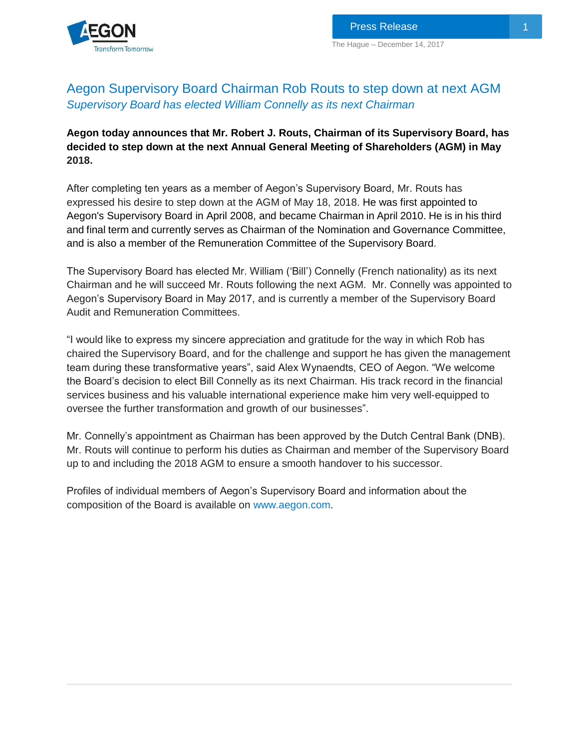

# Aegon Supervisory Board Chairman Rob Routs to step down at next AGM *Supervisory Board has elected William Connelly as its next Chairman*

## **Aegon today announces that Mr. Robert J. Routs, Chairman of its Supervisory Board, has decided to step down at the next Annual General Meeting of Shareholders (AGM) in May 2018.**

After completing ten years as a member of Aegon's Supervisory Board, Mr. Routs has expressed his desire to step down at the AGM of May 18, 2018. He was first appointed to Aegon's Supervisory Board in April 2008, and became Chairman in April 2010. He is in his third and final term and currently serves as Chairman of the Nomination and Governance Committee, and is also a member of the Remuneration Committee of the Supervisory Board.

The Supervisory Board has elected Mr. William ('Bill') Connelly (French nationality) as its next Chairman and he will succeed Mr. Routs following the next AGM. Mr. Connelly was appointed to Aegon's Supervisory Board in May 2017, and is currently a member of the Supervisory Board Audit and Remuneration Committees.

"I would like to express my sincere appreciation and gratitude for the way in which Rob has chaired the Supervisory Board, and for the challenge and support he has given the management team during these transformative years", said Alex Wynaendts, CEO of Aegon. "We welcome the Board's decision to elect Bill Connelly as its next Chairman. His track record in the financial services business and his valuable international experience make him very well-equipped to oversee the further transformation and growth of our businesses".

Mr. Connelly's appointment as Chairman has been approved by the Dutch Central Bank (DNB). Mr. Routs will continue to perform his duties as Chairman and member of the Supervisory Board up to and including the 2018 AGM to ensure a smooth handover to his successor.

Profiles of individual members of Aegon's Supervisory Board and information about the composition of the Board is available on [www.aegon.com.](http://www.aegon.com/)